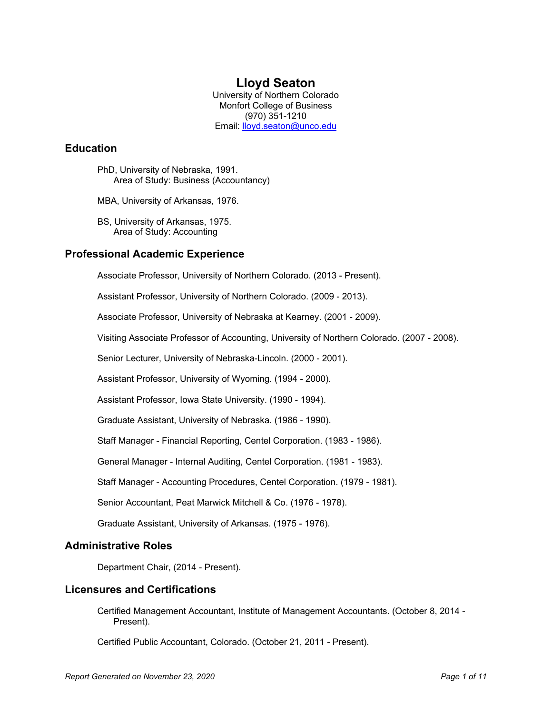# **Lloyd Seaton**

University of Northern Colorado Monfort College of Business (970) 351-1210 Email: [lloyd.seaton@unco.edu](mailto:lloyd.seaton@unco.edu)

# **Education**

PhD, University of Nebraska, 1991. Area of Study: Business (Accountancy)

MBA, University of Arkansas, 1976.

BS, University of Arkansas, 1975. Area of Study: Accounting

# **Professional Academic Experience**

Associate Professor, University of Northern Colorado. (2013 - Present).

Assistant Professor, University of Northern Colorado. (2009 - 2013).

Associate Professor, University of Nebraska at Kearney. (2001 - 2009).

Visiting Associate Professor of Accounting, University of Northern Colorado. (2007 - 2008).

Senior Lecturer, University of Nebraska-Lincoln. (2000 - 2001).

Assistant Professor, University of Wyoming. (1994 - 2000).

Assistant Professor, Iowa State University. (1990 - 1994).

Graduate Assistant, University of Nebraska. (1986 - 1990).

Staff Manager - Financial Reporting, Centel Corporation. (1983 - 1986).

General Manager - Internal Auditing, Centel Corporation. (1981 - 1983).

Staff Manager - Accounting Procedures, Centel Corporation. (1979 - 1981).

Senior Accountant, Peat Marwick Mitchell & Co. (1976 - 1978).

Graduate Assistant, University of Arkansas. (1975 - 1976).

### **Administrative Roles**

Department Chair, (2014 - Present).

### **Licensures and Certifications**

Certified Management Accountant, Institute of Management Accountants. (October 8, 2014 - Present).

Certified Public Accountant, Colorado. (October 21, 2011 - Present).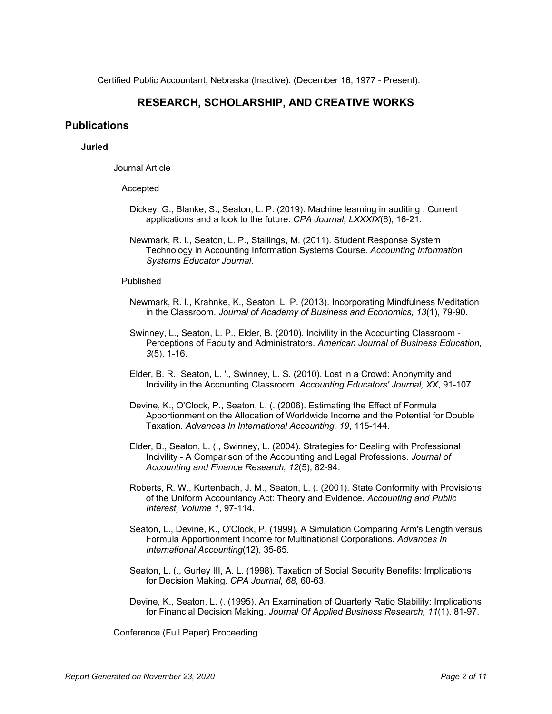Certified Public Accountant, Nebraska (Inactive). (December 16, 1977 - Present).

# **RESEARCH, SCHOLARSHIP, AND CREATIVE WORKS**

### **Publications**

### **Juried**

Journal Article

#### Accepted

- Dickey, G., Blanke, S., Seaton, L. P. (2019). Machine learning in auditing : Current applications and a look to the future. *CPA Journal, LXXXIX*(6), 16-21.
- Newmark, R. I., Seaton, L. P., Stallings, M. (2011). Student Response System Technology in Accounting Information Systems Course. *Accounting Information Systems Educator Journal*.

#### Published

- Newmark, R. I., Krahnke, K., Seaton, L. P. (2013). Incorporating Mindfulness Meditation in the Classroom. *Journal of Academy of Business and Economics, 13*(1), 79-90.
- Swinney, L., Seaton, L. P., Elder, B. (2010). Incivility in the Accounting Classroom Perceptions of Faculty and Administrators. *American Journal of Business Education, 3*(5), 1-16.
- Elder, B. R., Seaton, L. '., Swinney, L. S. (2010). Lost in a Crowd: Anonymity and Incivility in the Accounting Classroom. *Accounting Educators' Journal, XX*, 91-107.
- Devine, K., O'Clock, P., Seaton, L. (. (2006). Estimating the Effect of Formula Apportionment on the Allocation of Worldwide Income and the Potential for Double Taxation. *Advances In International Accounting, 19*, 115-144.
- Elder, B., Seaton, L. (., Swinney, L. (2004). Strategies for Dealing with Professional Incivility - A Comparison of the Accounting and Legal Professions. *Journal of Accounting and Finance Research, 12*(5), 82-94.
- Roberts, R. W., Kurtenbach, J. M., Seaton, L. (. (2001). State Conformity with Provisions of the Uniform Accountancy Act: Theory and Evidence. *Accounting and Public Interest, Volume 1*, 97-114.
- Seaton, L., Devine, K., O'Clock, P. (1999). A Simulation Comparing Arm's Length versus Formula Apportionment Income for Multinational Corporations. *Advances In International Accounting*(12), 35-65.
- Seaton, L. (., Gurley III, A. L. (1998). Taxation of Social Security Benefits: Implications for Decision Making. *CPA Journal, 68*, 60-63.
- Devine, K., Seaton, L. (. (1995). An Examination of Quarterly Ratio Stability: Implications for Financial Decision Making. *Journal Of Applied Business Research, 11*(1), 81-97.

Conference (Full Paper) Proceeding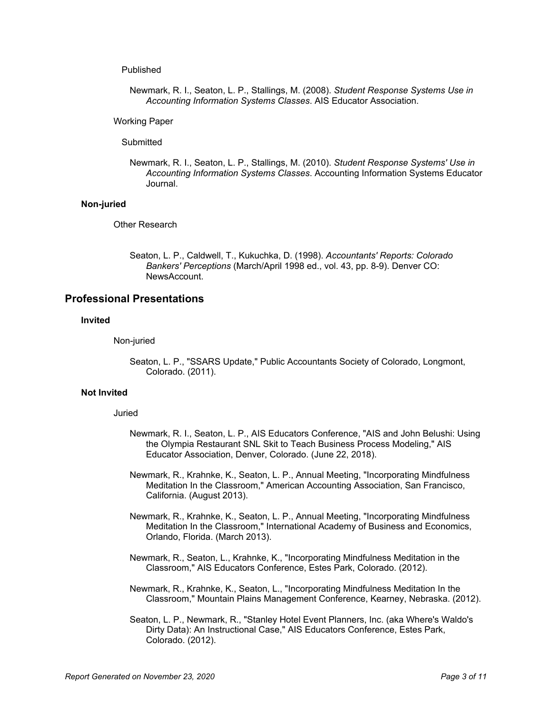#### Published

Newmark, R. I., Seaton, L. P., Stallings, M. (2008). *Student Response Systems Use in Accounting Information Systems Classes*. AIS Educator Association.

#### Working Paper

#### **Submitted**

Newmark, R. I., Seaton, L. P., Stallings, M. (2010). *Student Response Systems' Use in Accounting Information Systems Classes*. Accounting Information Systems Educator Journal.

#### **Non-juried**

Other Research

Seaton, L. P., Caldwell, T., Kukuchka, D. (1998). *Accountants' Reports: Colorado Bankers' Perceptions* (March/April 1998 ed., vol. 43, pp. 8-9). Denver CO: NewsAccount.

### **Professional Presentations**

#### **Invited**

Non-juried

Seaton, L. P., "SSARS Update," Public Accountants Society of Colorado, Longmont, Colorado. (2011).

#### **Not Invited**

#### Juried

- Newmark, R. I., Seaton, L. P., AIS Educators Conference, "AIS and John Belushi: Using the Olympia Restaurant SNL Skit to Teach Business Process Modeling," AIS Educator Association, Denver, Colorado. (June 22, 2018).
- Newmark, R., Krahnke, K., Seaton, L. P., Annual Meeting, "Incorporating Mindfulness Meditation In the Classroom," American Accounting Association, San Francisco, California. (August 2013).
- Newmark, R., Krahnke, K., Seaton, L. P., Annual Meeting, "Incorporating Mindfulness Meditation In the Classroom," International Academy of Business and Economics, Orlando, Florida. (March 2013).
- Newmark, R., Seaton, L., Krahnke, K., "Incorporating Mindfulness Meditation in the Classroom," AIS Educators Conference, Estes Park, Colorado. (2012).
- Newmark, R., Krahnke, K., Seaton, L., "Incorporating Mindfulness Meditation In the Classroom," Mountain Plains Management Conference, Kearney, Nebraska. (2012).
- Seaton, L. P., Newmark, R., "Stanley Hotel Event Planners, Inc. (aka Where's Waldo's Dirty Data): An Instructional Case," AIS Educators Conference, Estes Park, Colorado. (2012).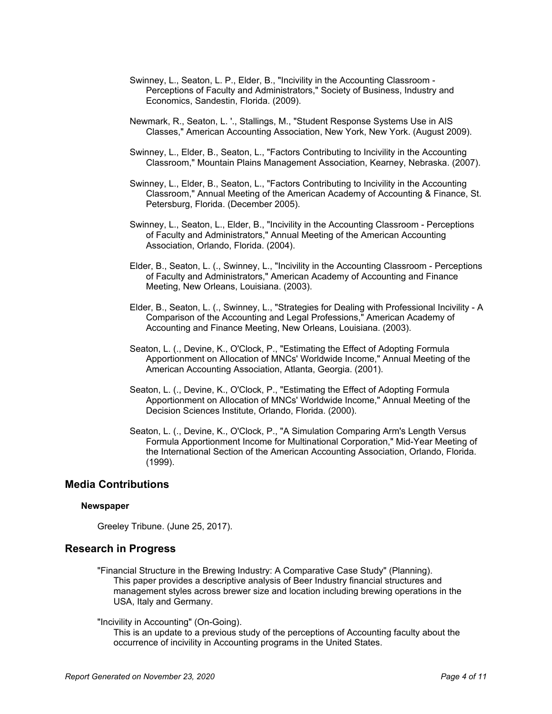- Swinney, L., Seaton, L. P., Elder, B., "Incivility in the Accounting Classroom Perceptions of Faculty and Administrators," Society of Business, Industry and Economics, Sandestin, Florida. (2009).
- Newmark, R., Seaton, L. '., Stallings, M., "Student Response Systems Use in AIS Classes," American Accounting Association, New York, New York. (August 2009).
- Swinney, L., Elder, B., Seaton, L., "Factors Contributing to Incivility in the Accounting Classroom," Mountain Plains Management Association, Kearney, Nebraska. (2007).
- Swinney, L., Elder, B., Seaton, L., "Factors Contributing to Incivility in the Accounting Classroom," Annual Meeting of the American Academy of Accounting & Finance, St. Petersburg, Florida. (December 2005).
- Swinney, L., Seaton, L., Elder, B., "Incivility in the Accounting Classroom Perceptions of Faculty and Administrators," Annual Meeting of the American Accounting Association, Orlando, Florida. (2004).
- Elder, B., Seaton, L. (., Swinney, L., "Incivility in the Accounting Classroom Perceptions of Faculty and Administrators," American Academy of Accounting and Finance Meeting, New Orleans, Louisiana. (2003).
- Elder, B., Seaton, L. (., Swinney, L., "Strategies for Dealing with Professional Incivility A Comparison of the Accounting and Legal Professions," American Academy of Accounting and Finance Meeting, New Orleans, Louisiana. (2003).
- Seaton, L. (., Devine, K., O'Clock, P., "Estimating the Effect of Adopting Formula Apportionment on Allocation of MNCs' Worldwide Income," Annual Meeting of the American Accounting Association, Atlanta, Georgia. (2001).
- Seaton, L. (., Devine, K., O'Clock, P., "Estimating the Effect of Adopting Formula Apportionment on Allocation of MNCs' Worldwide Income," Annual Meeting of the Decision Sciences Institute, Orlando, Florida. (2000).
- Seaton, L. (., Devine, K., O'Clock, P., "A Simulation Comparing Arm's Length Versus Formula Apportionment Income for Multinational Corporation," Mid-Year Meeting of the International Section of the American Accounting Association, Orlando, Florida. (1999).

### **Media Contributions**

#### **Newspaper**

Greeley Tribune. (June 25, 2017).

### **Research in Progress**

"Financial Structure in the Brewing Industry: A Comparative Case Study" (Planning). This paper provides a descriptive analysis of Beer Industry financial structures and management styles across brewer size and location including brewing operations in the USA, Italy and Germany.

#### "Incivility in Accounting" (On-Going).

This is an update to a previous study of the perceptions of Accounting faculty about the occurrence of incivility in Accounting programs in the United States.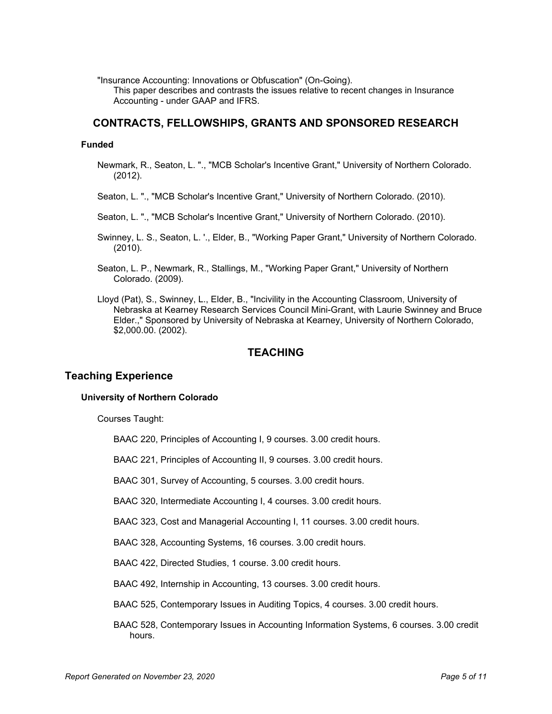"Insurance Accounting: Innovations or Obfuscation" (On-Going).

This paper describes and contrasts the issues relative to recent changes in Insurance Accounting - under GAAP and IFRS.

# **CONTRACTS, FELLOWSHIPS, GRANTS AND SPONSORED RESEARCH**

#### **Funded**

- Newmark, R., Seaton, L. "., "MCB Scholar's Incentive Grant," University of Northern Colorado. (2012).
- Seaton, L. "., "MCB Scholar's Incentive Grant," University of Northern Colorado. (2010).
- Seaton, L. "., "MCB Scholar's Incentive Grant," University of Northern Colorado. (2010).
- Swinney, L. S., Seaton, L. '., Elder, B., "Working Paper Grant," University of Northern Colorado. (2010).
- Seaton, L. P., Newmark, R., Stallings, M., "Working Paper Grant," University of Northern Colorado. (2009).
- Lloyd (Pat), S., Swinney, L., Elder, B., "Incivility in the Accounting Classroom, University of Nebraska at Kearney Research Services Council Mini-Grant, with Laurie Swinney and Bruce Elder.," Sponsored by University of Nebraska at Kearney, University of Northern Colorado, \$2,000.00. (2002).

## **TEACHING**

# **Teaching Experience**

#### **University of Northern Colorado**

Courses Taught:

BAAC 220, Principles of Accounting I, 9 courses. 3.00 credit hours.

BAAC 221, Principles of Accounting II, 9 courses. 3.00 credit hours.

BAAC 301, Survey of Accounting, 5 courses. 3.00 credit hours.

BAAC 320, Intermediate Accounting I, 4 courses. 3.00 credit hours.

BAAC 323, Cost and Managerial Accounting I, 11 courses. 3.00 credit hours.

BAAC 328, Accounting Systems, 16 courses. 3.00 credit hours.

BAAC 422, Directed Studies, 1 course. 3.00 credit hours.

BAAC 492, Internship in Accounting, 13 courses. 3.00 credit hours.

BAAC 525, Contemporary Issues in Auditing Topics, 4 courses. 3.00 credit hours.

BAAC 528, Contemporary Issues in Accounting Information Systems, 6 courses. 3.00 credit hours.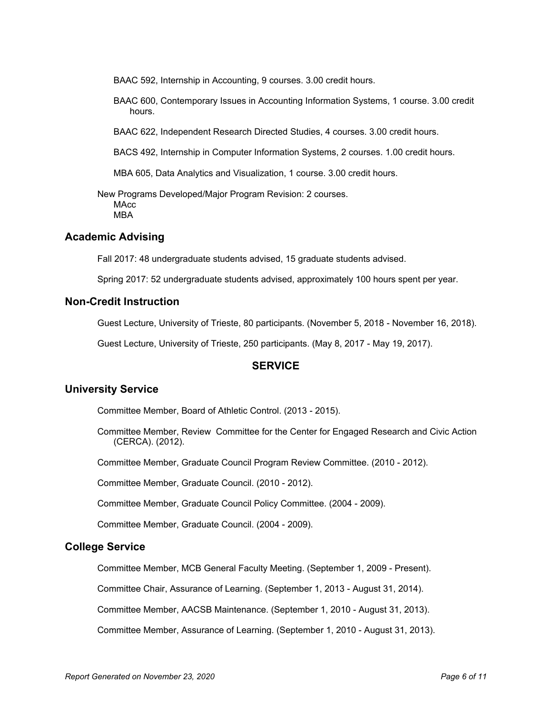BAAC 592, Internship in Accounting, 9 courses. 3.00 credit hours.

BAAC 600, Contemporary Issues in Accounting Information Systems, 1 course. 3.00 credit hours.

BAAC 622, Independent Research Directed Studies, 4 courses. 3.00 credit hours.

BACS 492, Internship in Computer Information Systems, 2 courses. 1.00 credit hours.

MBA 605, Data Analytics and Visualization, 1 course. 3.00 credit hours.

New Programs Developed/Major Program Revision: 2 courses. **MAcc** MBA

### **Academic Advising**

Fall 2017: 48 undergraduate students advised, 15 graduate students advised.

Spring 2017: 52 undergraduate students advised, approximately 100 hours spent per year.

### **Non-Credit Instruction**

Guest Lecture, University of Trieste, 80 participants. (November 5, 2018 - November 16, 2018).

Guest Lecture, University of Trieste, 250 participants. (May 8, 2017 - May 19, 2017).

## **SERVICE**

### **University Service**

Committee Member, Board of Athletic Control. (2013 - 2015).

Committee Member, Review Committee for the Center for Engaged Research and Civic Action (CERCA). (2012).

Committee Member, Graduate Council Program Review Committee. (2010 - 2012).

Committee Member, Graduate Council. (2010 - 2012).

Committee Member, Graduate Council Policy Committee. (2004 - 2009).

Committee Member, Graduate Council. (2004 - 2009).

#### **College Service**

Committee Member, MCB General Faculty Meeting. (September 1, 2009 - Present).

Committee Chair, Assurance of Learning. (September 1, 2013 - August 31, 2014).

Committee Member, AACSB Maintenance. (September 1, 2010 - August 31, 2013).

Committee Member, Assurance of Learning. (September 1, 2010 - August 31, 2013).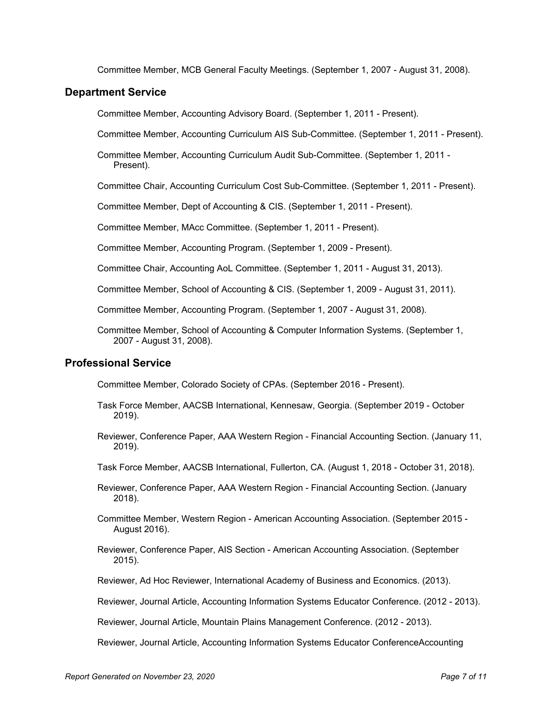Committee Member, MCB General Faculty Meetings. (September 1, 2007 - August 31, 2008).

### **Department Service**

Committee Member, Accounting Advisory Board. (September 1, 2011 - Present).

Committee Member, Accounting Curriculum AIS Sub-Committee. (September 1, 2011 - Present).

Committee Member, Accounting Curriculum Audit Sub-Committee. (September 1, 2011 - Present).

Committee Chair, Accounting Curriculum Cost Sub-Committee. (September 1, 2011 - Present).

Committee Member, Dept of Accounting & CIS. (September 1, 2011 - Present).

Committee Member, MAcc Committee. (September 1, 2011 - Present).

Committee Member, Accounting Program. (September 1, 2009 - Present).

Committee Chair, Accounting AoL Committee. (September 1, 2011 - August 31, 2013).

Committee Member, School of Accounting & CIS. (September 1, 2009 - August 31, 2011).

Committee Member, Accounting Program. (September 1, 2007 - August 31, 2008).

Committee Member, School of Accounting & Computer Information Systems. (September 1, 2007 - August 31, 2008).

# **Professional Service**

Committee Member, Colorado Society of CPAs. (September 2016 - Present).

- Task Force Member, AACSB International, Kennesaw, Georgia. (September 2019 October 2019).
- Reviewer, Conference Paper, AAA Western Region Financial Accounting Section. (January 11, 2019).
- Task Force Member, AACSB International, Fullerton, CA. (August 1, 2018 October 31, 2018).
- Reviewer, Conference Paper, AAA Western Region Financial Accounting Section. (January 2018).
- Committee Member, Western Region American Accounting Association. (September 2015 August 2016).
- Reviewer, Conference Paper, AIS Section American Accounting Association. (September 2015).
- Reviewer, Ad Hoc Reviewer, International Academy of Business and Economics. (2013).
- Reviewer, Journal Article, Accounting Information Systems Educator Conference. (2012 2013).

Reviewer, Journal Article, Mountain Plains Management Conference. (2012 - 2013).

Reviewer, Journal Article, Accounting Information Systems Educator ConferenceAccounting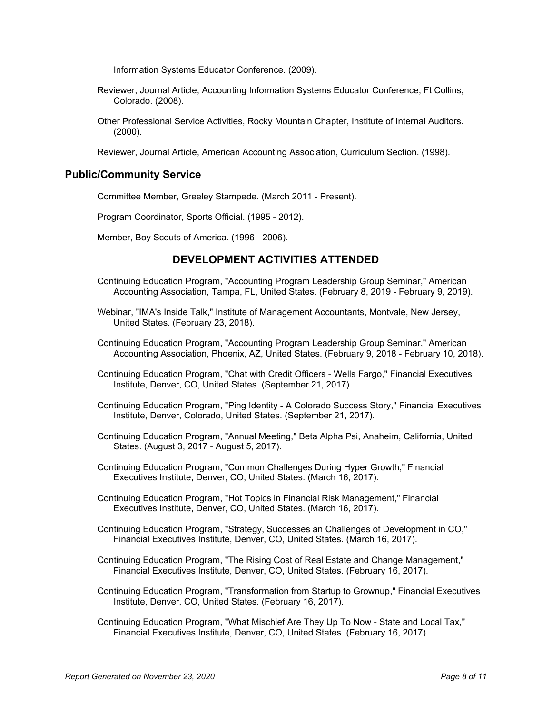Information Systems Educator Conference. (2009).

- Reviewer, Journal Article, Accounting Information Systems Educator Conference, Ft Collins, Colorado. (2008).
- Other Professional Service Activities, Rocky Mountain Chapter, Institute of Internal Auditors. (2000).

Reviewer, Journal Article, American Accounting Association, Curriculum Section. (1998).

### **Public/Community Service**

Committee Member, Greeley Stampede. (March 2011 - Present).

Program Coordinator, Sports Official. (1995 - 2012).

Member, Boy Scouts of America. (1996 - 2006).

# **DEVELOPMENT ACTIVITIES ATTENDED**

- Continuing Education Program, "Accounting Program Leadership Group Seminar," American Accounting Association, Tampa, FL, United States. (February 8, 2019 - February 9, 2019).
- Webinar, "IMA's Inside Talk," Institute of Management Accountants, Montvale, New Jersey, United States. (February 23, 2018).
- Continuing Education Program, "Accounting Program Leadership Group Seminar," American Accounting Association, Phoenix, AZ, United States. (February 9, 2018 - February 10, 2018).
- Continuing Education Program, "Chat with Credit Officers Wells Fargo," Financial Executives Institute, Denver, CO, United States. (September 21, 2017).
- Continuing Education Program, "Ping Identity A Colorado Success Story," Financial Executives Institute, Denver, Colorado, United States. (September 21, 2017).
- Continuing Education Program, "Annual Meeting," Beta Alpha Psi, Anaheim, California, United States. (August 3, 2017 - August 5, 2017).
- Continuing Education Program, "Common Challenges During Hyper Growth," Financial Executives Institute, Denver, CO, United States. (March 16, 2017).
- Continuing Education Program, "Hot Topics in Financial Risk Management," Financial Executives Institute, Denver, CO, United States. (March 16, 2017).
- Continuing Education Program, "Strategy, Successes an Challenges of Development in CO," Financial Executives Institute, Denver, CO, United States. (March 16, 2017).
- Continuing Education Program, "The Rising Cost of Real Estate and Change Management," Financial Executives Institute, Denver, CO, United States. (February 16, 2017).
- Continuing Education Program, "Transformation from Startup to Grownup," Financial Executives Institute, Denver, CO, United States. (February 16, 2017).
- Continuing Education Program, "What Mischief Are They Up To Now State and Local Tax," Financial Executives Institute, Denver, CO, United States. (February 16, 2017).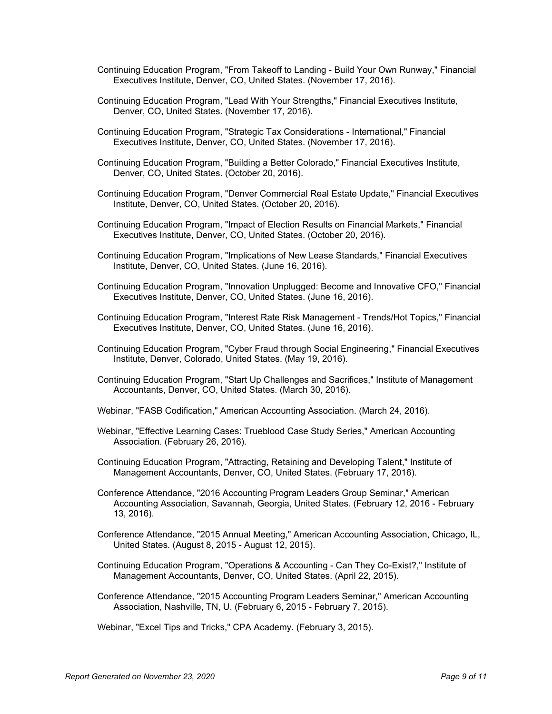- Continuing Education Program, "From Takeoff to Landing Build Your Own Runway," Financial Executives Institute, Denver, CO, United States. (November 17, 2016).
- Continuing Education Program, "Lead With Your Strengths," Financial Executives Institute, Denver, CO, United States. (November 17, 2016).
- Continuing Education Program, "Strategic Tax Considerations International," Financial Executives Institute, Denver, CO, United States. (November 17, 2016).
- Continuing Education Program, "Building a Better Colorado," Financial Executives Institute, Denver, CO, United States. (October 20, 2016).
- Continuing Education Program, "Denver Commercial Real Estate Update," Financial Executives Institute, Denver, CO, United States. (October 20, 2016).
- Continuing Education Program, "Impact of Election Results on Financial Markets," Financial Executives Institute, Denver, CO, United States. (October 20, 2016).
- Continuing Education Program, "Implications of New Lease Standards," Financial Executives Institute, Denver, CO, United States. (June 16, 2016).
- Continuing Education Program, "Innovation Unplugged: Become and Innovative CFO," Financial Executives Institute, Denver, CO, United States. (June 16, 2016).
- Continuing Education Program, "Interest Rate Risk Management Trends/Hot Topics," Financial Executives Institute, Denver, CO, United States. (June 16, 2016).
- Continuing Education Program, "Cyber Fraud through Social Engineering," Financial Executives Institute, Denver, Colorado, United States. (May 19, 2016).
- Continuing Education Program, "Start Up Challenges and Sacrifices," Institute of Management Accountants, Denver, CO, United States. (March 30, 2016).
- Webinar, "FASB Codification," American Accounting Association. (March 24, 2016).
- Webinar, "Effective Learning Cases: Trueblood Case Study Series," American Accounting Association. (February 26, 2016).
- Continuing Education Program, "Attracting, Retaining and Developing Talent," Institute of Management Accountants, Denver, CO, United States. (February 17, 2016).
- Conference Attendance, "2016 Accounting Program Leaders Group Seminar," American Accounting Association, Savannah, Georgia, United States. (February 12, 2016 - February 13, 2016).
- Conference Attendance, "2015 Annual Meeting," American Accounting Association, Chicago, IL, United States. (August 8, 2015 - August 12, 2015).
- Continuing Education Program, "Operations & Accounting Can They Co-Exist?," Institute of Management Accountants, Denver, CO, United States. (April 22, 2015).
- Conference Attendance, "2015 Accounting Program Leaders Seminar," American Accounting Association, Nashville, TN, U. (February 6, 2015 - February 7, 2015).

Webinar, "Excel Tips and Tricks," CPA Academy. (February 3, 2015).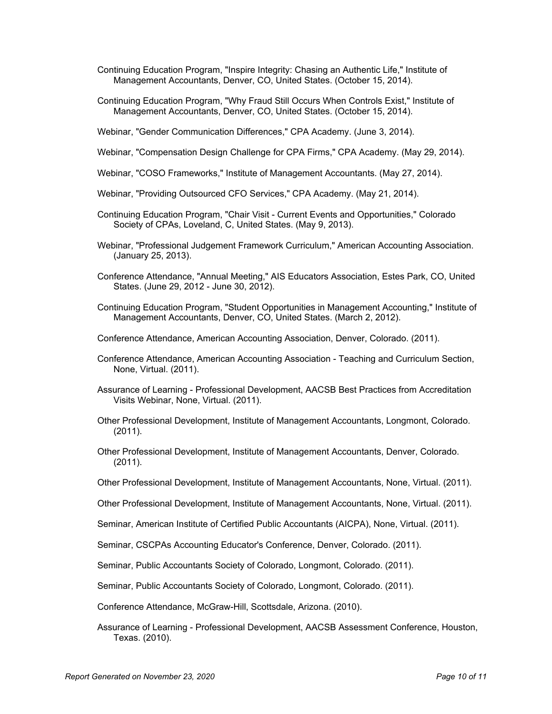- Continuing Education Program, "Inspire Integrity: Chasing an Authentic Life," Institute of Management Accountants, Denver, CO, United States. (October 15, 2014).
- Continuing Education Program, "Why Fraud Still Occurs When Controls Exist," Institute of Management Accountants, Denver, CO, United States. (October 15, 2014).
- Webinar, "Gender Communication Differences," CPA Academy. (June 3, 2014).
- Webinar, "Compensation Design Challenge for CPA Firms," CPA Academy. (May 29, 2014).
- Webinar, "COSO Frameworks," Institute of Management Accountants. (May 27, 2014).
- Webinar, "Providing Outsourced CFO Services," CPA Academy. (May 21, 2014).
- Continuing Education Program, "Chair Visit Current Events and Opportunities," Colorado Society of CPAs, Loveland, C, United States. (May 9, 2013).
- Webinar, "Professional Judgement Framework Curriculum," American Accounting Association. (January 25, 2013).
- Conference Attendance, "Annual Meeting," AIS Educators Association, Estes Park, CO, United States. (June 29, 2012 - June 30, 2012).
- Continuing Education Program, "Student Opportunities in Management Accounting," Institute of Management Accountants, Denver, CO, United States. (March 2, 2012).
- Conference Attendance, American Accounting Association, Denver, Colorado. (2011).
- Conference Attendance, American Accounting Association Teaching and Curriculum Section, None, Virtual. (2011).
- Assurance of Learning Professional Development, AACSB Best Practices from Accreditation Visits Webinar, None, Virtual. (2011).
- Other Professional Development, Institute of Management Accountants, Longmont, Colorado. (2011).
- Other Professional Development, Institute of Management Accountants, Denver, Colorado. (2011).
- Other Professional Development, Institute of Management Accountants, None, Virtual. (2011).
- Other Professional Development, Institute of Management Accountants, None, Virtual. (2011).
- Seminar, American Institute of Certified Public Accountants (AICPA), None, Virtual. (2011).
- Seminar, CSCPAs Accounting Educator's Conference, Denver, Colorado. (2011).
- Seminar, Public Accountants Society of Colorado, Longmont, Colorado. (2011).

Seminar, Public Accountants Society of Colorado, Longmont, Colorado. (2011).

Conference Attendance, McGraw-Hill, Scottsdale, Arizona. (2010).

Assurance of Learning - Professional Development, AACSB Assessment Conference, Houston, Texas. (2010).